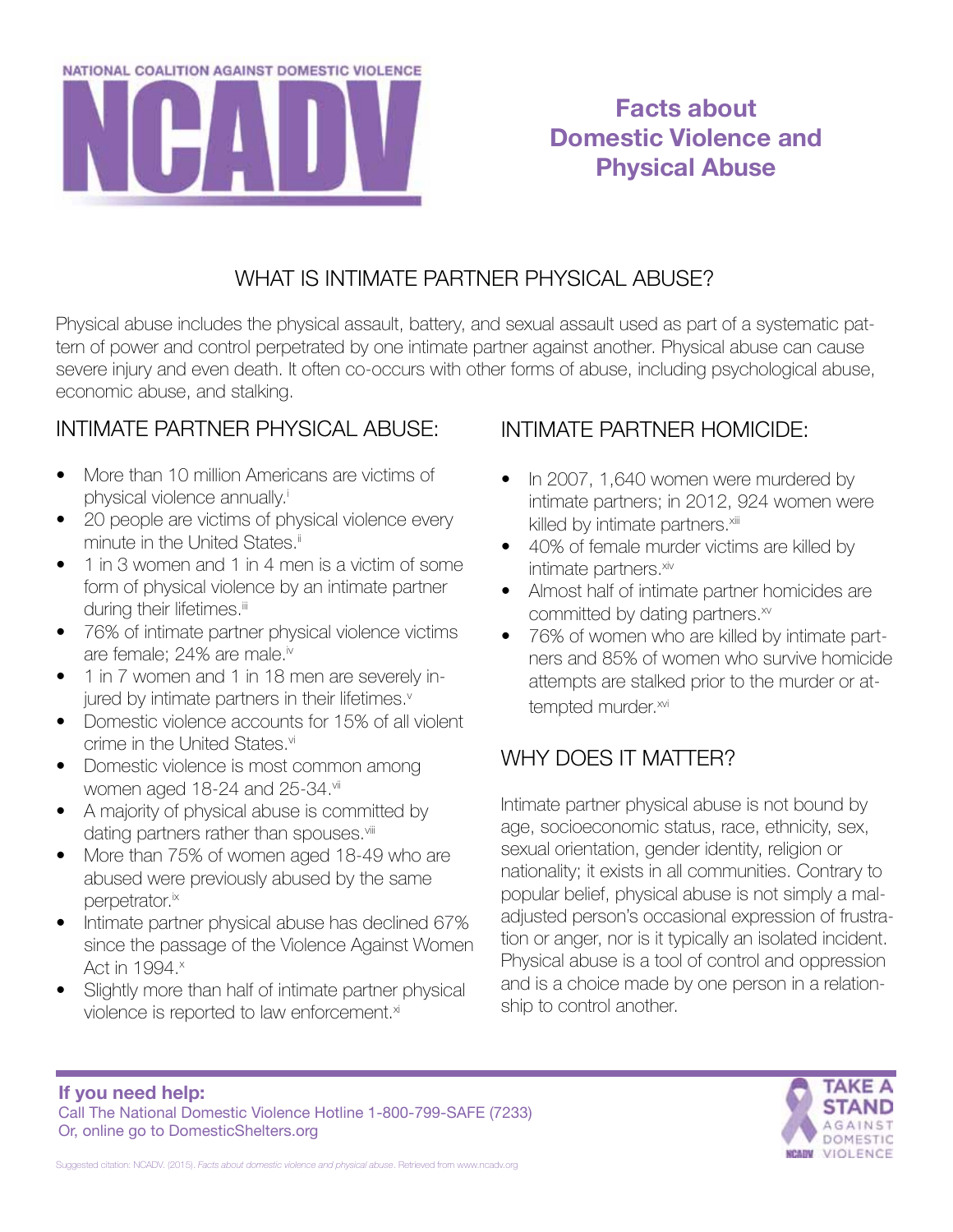

# **Facts about Domestic Violence and Physical Abuse**

### WHAT IS INTIMATE PARTNER PHYSICAL ABUSE?

Physical abuse includes the physical assault, battery, and sexual assault used as part of a systematic pattern of power and control perpetrated by one intimate partner against another. Physical abuse can cause severe injury and even death. It often co-occurs with other forms of abuse, including psychological abuse, economic abuse, and stalking.

## INTIMATE PARTNER PHYSICAL ABUSE:

- More than 10 million Americans are victims of physical violence annually.<sup>i</sup>
- 20 people are victims of physical violence every minute in the United States.<sup>ii</sup>
- 1 in 3 women and 1 in 4 men is a victim of some form of physical violence by an intimate partner during their lifetimes.<sup>iii</sup>
- 76% of intimate partner physical violence victims are female; 24% are male.iv
- 1 in 7 women and 1 in 18 men are severely injured by intimate partners in their lifetimes.<sup>v</sup>
- Domestic violence accounts for 15% of all violent crime in the United States.<sup>vi</sup>
- Domestic violence is most common among women aged 18-24 and 25-34.vii
- A majority of physical abuse is committed by dating partners rather than spouses.<sup>viii</sup>
- More than 75% of women aged 18-49 who are abused were previously abused by the same perpetrator.<sup>ix</sup>
- Intimate partner physical abuse has declined 67% since the passage of the Violence Against Women Act in 1994.<sup>x</sup>
- Slightly more than half of intimate partner physical violence is reported to law enforcement.<sup>xi</sup>

# INTIMATE PARTNER HOMICIDE:

- In 2007, 1,640 women were murdered by intimate partners; in 2012, 924 women were killed by intimate partners.<sup>xiii</sup>
- 40% of female murder victims are killed by intimate partners.<sup>xiv</sup>
- Almost half of intimate partner homicides are committed by dating partners.<sup>xv</sup>
- 76% of women who are killed by intimate partners and 85% of women who survive homicide attempts are stalked prior to the murder or attempted murder.xvi

# WHY DOES IT MATTER?

Intimate partner physical abuse is not bound by age, socioeconomic status, race, ethnicity, sex, sexual orientation, gender identity, religion or nationality; it exists in all communities. Contrary to popular belief, physical abuse is not simply a maladjusted person's occasional expression of frustration or anger, nor is it typically an isolated incident. Physical abuse is a tool of control and oppression and is a choice made by one person in a relationship to control another.

#### **If you need help:** Call The National Domestic Violence Hotline 1-800-799-SAFE (7233) Or, online go to DomesticShelters.org



Suggested citation: NCADV. (2015). *Facts about domestic violence and physical abuse*. Retrieved from www.ncadv.org